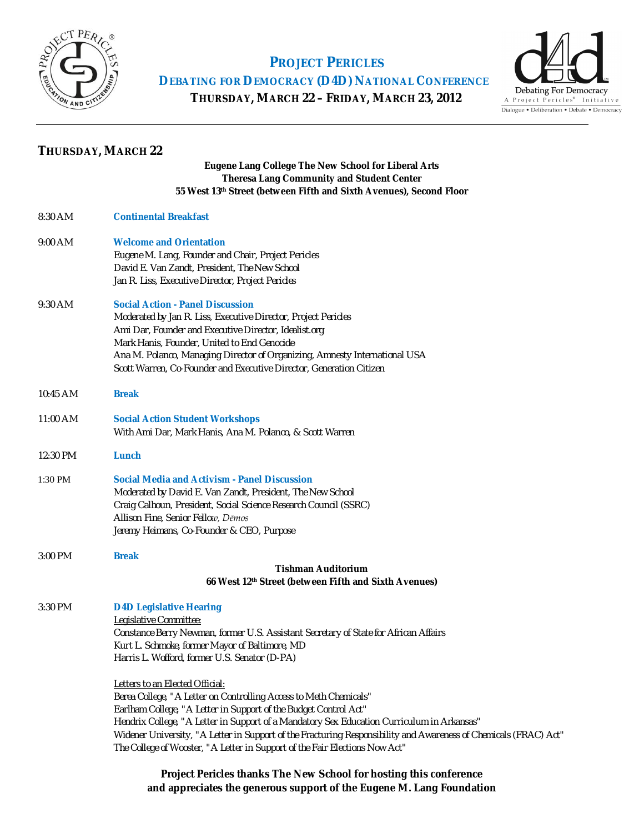

 **PROJECT PERICLES DEBATING FOR DEMOCRACY (D4D) NATIONAL CONFERENCE**

 **THURSDAY, MARCH 22 – FRIDAY, MARCH 23, 2012**



| <b>THURSDAY, MARCH 22</b> |  |
|---------------------------|--|
|---------------------------|--|

#### **Eugene Lang College The New School for Liberal Arts Theresa Lang Community and Student Center 55 West 13th Street (between Fifth and Sixth Avenues), Second Floor**

| 8:30 AM   | <b>Continental Breakfast</b>                                                                                                                                                                                                                                                                                                                                           |
|-----------|------------------------------------------------------------------------------------------------------------------------------------------------------------------------------------------------------------------------------------------------------------------------------------------------------------------------------------------------------------------------|
| $9:00$ AM | <b>Welcome and Orientation</b><br>Eugene M. Lang, Founder and Chair, Project Pericles<br>David E. Van Zandt, President, The New School<br>Jan R. Liss, Executive Director, Project Pericles                                                                                                                                                                            |
| 9:30 AM   | <b>Social Action - Panel Discussion</b><br>Moderated by Jan R. Liss, Executive Director, Project Pericles<br>Ami Dar, Founder and Executive Director, Idealist.org<br>Mark Hanis, Founder, United to End Genocide<br>Ana M. Polanco, Managing Director of Organizing, Amnesty International USA<br>Scott Warren, Co-Founder and Executive Director, Generation Citizen |
| 10:45 AM  | <b>Break</b>                                                                                                                                                                                                                                                                                                                                                           |
| 11:00 AM  | <b>Social Action Student Workshops</b><br>With Ami Dar, Mark Hanis, Ana M. Polanco, & Scott Warren                                                                                                                                                                                                                                                                     |
| 12:30 PM  | Lunch                                                                                                                                                                                                                                                                                                                                                                  |
| 1:30 PM   | <b>Social Media and Activism - Panel Discussion</b><br>Moderated by David E. Van Zandt, President, The New School<br>Craig Calhoun, President, Social Science Research Council (SSRC)<br>Allison Fine, Senior Fellow, Dēmos<br>Jeremy Heimans, Co-Founder & CEO, Purpose                                                                                               |
| 3:00 PM   | <b>Break</b><br><b>Tishman Auditorium</b><br>66 West 12th Street (between Fifth and Sixth Avenues)                                                                                                                                                                                                                                                                     |
| 3:30 PM   | <b>D4D Legislative Hearing</b>                                                                                                                                                                                                                                                                                                                                         |

*Legislative Committee: Constance Berry Newman, former U.S. Assistant Secretary of State for African Affairs Kurt L. Schmoke, former Mayor of Baltimore, MD Harris L. Wofford, former U.S. Senator (D-PA)*

*Letters to an Elected Official:*

*Berea College, "A Letter on Controlling Access to Meth Chemicals" Earlham College, "A Letter in Support of the Budget Control Act" Hendrix College, "A Letter in Support of a Mandatory Sex Education Curriculum in Arkansas" Widener University, "A Letter in Support of the Fracturing Responsibility and Awareness of Chemicals (FRAC) Act" The College of Wooster, "A Letter in Support of the Fair Elections Now Act"*

### **Project Pericles thanks The New School for hosting this conference and appreciates the generous support of the Eugene M. Lang Foundation**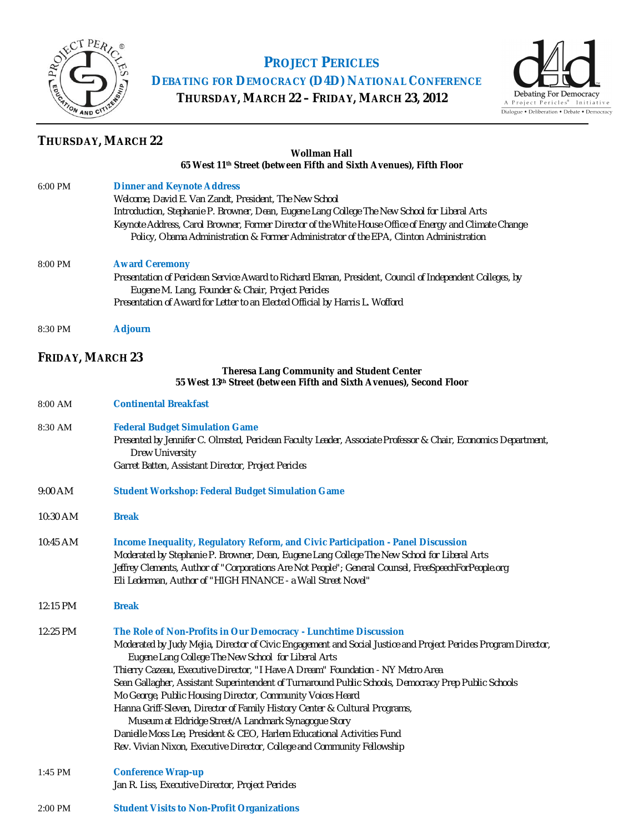

# **PROJECT PERICLES**

**DEBATING FOR DEMOCRACY (D4D) NATIONAL CONFERENCE**

**THURSDAY, MARCH 22 – FRIDAY, MARCH 23, 2012**



## **THURSDAY, MARCH 22**

#### **Wollman Hall 65 West 11th Street (between Fifth and Sixth Avenues), Fifth Floor**

| 6:00 PM                 | <b>Dinner and Keynote Address</b><br>Welcome, David E. Van Zandt, President, The New School                                                                                                         |
|-------------------------|-----------------------------------------------------------------------------------------------------------------------------------------------------------------------------------------------------|
|                         | Introduction, Stephanie P. Browner, Dean, Eugene Lang College The New School for Liberal Arts                                                                                                       |
|                         | Keynote Address, Carol Browner, Former Director of the White House Office of Energy and Climate Change<br>Policy, Obama Administration & Former Administrator of the EPA, Clinton Administration    |
| 8:00 PM                 | <b>Award Ceremony</b>                                                                                                                                                                               |
|                         | Presentation of Periclean Service Award to Richard Ekman, President, Council of Independent Colleges, by<br>Eugene M. Lang, Founder & Chair, Project Pericles                                       |
|                         | Presentation of Award for Letter to an Elected Official by Harris L. Wofford                                                                                                                        |
| 8:30 PM                 | <b>Adjourn</b>                                                                                                                                                                                      |
| <b>FRIDAY, MARCH 23</b> |                                                                                                                                                                                                     |
|                         | <b>Theresa Lang Community and Student Center</b><br>55 West 13th Street (between Fifth and Sixth Avenues), Second Floor                                                                             |
| 8:00 AM                 | <b>Continental Breakfast</b>                                                                                                                                                                        |
| 8:30 AM                 | <b>Federal Budget Simulation Game</b>                                                                                                                                                               |
|                         | Presented by Jennifer C. Olmsted, Periclean Faculty Leader, Associate Professor & Chair, Economics Department,<br><b>Drew University</b>                                                            |
|                         | Garret Batten, Assistant Director, Project Pericles                                                                                                                                                 |
| 9:00 AM                 | <b>Student Workshop: Federal Budget Simulation Game</b>                                                                                                                                             |
| 10:30 AM                | <b>Break</b>                                                                                                                                                                                        |
| 10:45 AM                | Income Inequality, Regulatory Reform, and Civic Participation - Panel Discussion                                                                                                                    |
|                         | Moderated by Stephanie P. Browner, Dean, Eugene Lang College The New School for Liberal Arts<br>Jeffrey Clements, Author of "Corporations Are Not People"; General Counsel, FreeSpeechForPeople.org |
|                         | Eli Lederman, Author of "HIGH FINANCE - a Wall Street Novel"                                                                                                                                        |
| 12:15 PM                | <b>Break</b>                                                                                                                                                                                        |
| 12:25 PM                | The Role of Non-Profits in Our Democracy - Lunchtime Discussion                                                                                                                                     |
|                         | Moderated by Judy Mejia, Director of Civic Engagement and Social Justice and Project Pericles Program Director,<br>Eugene Lang College The New School for Liberal Arts                              |
|                         | Thierry Cazeau, Executive Director, "I Have A Dream" Foundation - NY Metro Area                                                                                                                     |
|                         | Sean Gallagher, Assistant Superintendent of Turnaround Public Schools, Democracy Prep Public Schools<br>Mo George, Public Housing Director, Community Voices Heard                                  |
|                         | Hanna Griff-Sleven, Director of Family History Center & Cultural Programs,                                                                                                                          |
|                         | Museum at Eldridge Street/A Landmark Synagogue Story                                                                                                                                                |
|                         | Danielle Moss Lee, President & CEO, Harlem Educational Activities Fund<br>Rev. Vivian Nixon, Executive Director, College and Community Fellowship                                                   |
| 1:45 PM                 | <b>Conference Wrap-up</b>                                                                                                                                                                           |
|                         | Jan R. Liss, Executive Director, Project Pericles                                                                                                                                                   |
| 2:00 PM                 | <b>Student Visits to Non-Profit Organizations</b>                                                                                                                                                   |